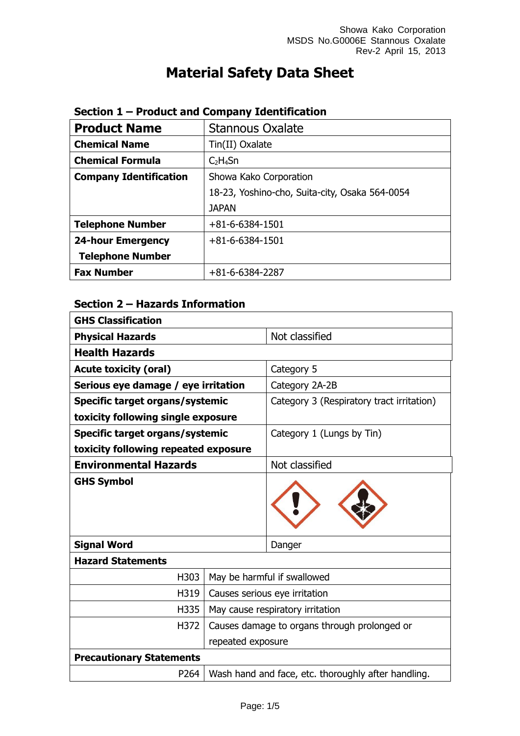# **Material Safety Data Sheet**

| <b>Product Name</b>           | <b>Stannous Oxalate</b>                        |
|-------------------------------|------------------------------------------------|
| <b>Chemical Name</b>          | Tin(II) Oxalate                                |
| <b>Chemical Formula</b>       | $C_2H_4Sn$                                     |
| <b>Company Identification</b> | Showa Kako Corporation                         |
|                               | 18-23, Yoshino-cho, Suita-city, Osaka 564-0054 |
|                               | <b>JAPAN</b>                                   |
| <b>Telephone Number</b>       | $+81 - 6 - 6384 - 1501$                        |
| <b>24-hour Emergency</b>      | $+81 - 6 - 6384 - 1501$                        |
| <b>Telephone Number</b>       |                                                |
| <b>Fax Number</b>             | $+81-6-6384-2287$                              |

## **Section 1 – Product and Company Identification**

## **Section 2 – Hazards Information**

| <b>GHS Classification</b>              |                                              |                                                     |
|----------------------------------------|----------------------------------------------|-----------------------------------------------------|
| <b>Physical Hazards</b>                |                                              | Not classified                                      |
| <b>Health Hazards</b>                  |                                              |                                                     |
| <b>Acute toxicity (oral)</b>           |                                              | Category 5                                          |
| Serious eye damage / eye irritation    |                                              | Category 2A-2B                                      |
| <b>Specific target organs/systemic</b> |                                              | Category 3 (Respiratory tract irritation)           |
| toxicity following single exposure     |                                              |                                                     |
| Specific target organs/systemic        |                                              | Category 1 (Lungs by Tin)                           |
| toxicity following repeated exposure   |                                              |                                                     |
| <b>Environmental Hazards</b>           |                                              | Not classified                                      |
| <b>GHS Symbol</b>                      |                                              |                                                     |
| <b>Signal Word</b>                     |                                              | Danger                                              |
| <b>Hazard Statements</b>               |                                              |                                                     |
| H303                                   | May be harmful if swallowed                  |                                                     |
| H319                                   |                                              | Causes serious eye irritation                       |
| H335                                   |                                              | May cause respiratory irritation                    |
| H372                                   | Causes damage to organs through prolonged or |                                                     |
| repeated exposure                      |                                              |                                                     |
| <b>Precautionary Statements</b>        |                                              |                                                     |
| P264                                   |                                              | Wash hand and face, etc. thoroughly after handling. |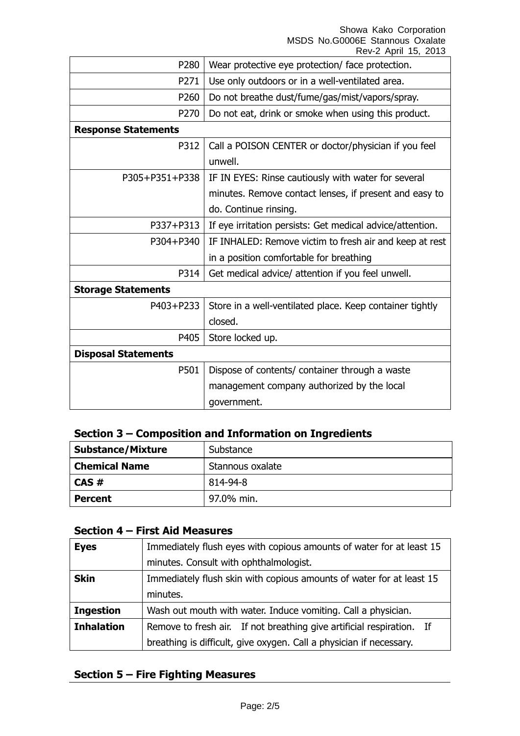Showa Kako Corporation MSDS No.G0006E Stannous Oxalate

|                            | Rev-2 April 15, 2013                                      |
|----------------------------|-----------------------------------------------------------|
| P280                       | Wear protective eye protection/ face protection.          |
| P271                       | Use only outdoors or in a well-ventilated area.           |
| P260                       | Do not breathe dust/fume/gas/mist/vapors/spray.           |
| P270                       | Do not eat, drink or smoke when using this product.       |
| <b>Response Statements</b> |                                                           |
| P312                       | Call a POISON CENTER or doctor/physician if you feel      |
|                            | unwell.                                                   |
| P305+P351+P338             | IF IN EYES: Rinse cautiously with water for several       |
|                            | minutes. Remove contact lenses, if present and easy to    |
|                            | do. Continue rinsing.                                     |
| P337+P313                  | If eye irritation persists: Get medical advice/attention. |
| P304+P340                  | IF INHALED: Remove victim to fresh air and keep at rest   |
|                            | in a position comfortable for breathing                   |
| P314                       | Get medical advice/ attention if you feel unwell.         |
| <b>Storage Statements</b>  |                                                           |
| P403+P233                  | Store in a well-ventilated place. Keep container tightly  |
|                            | closed.                                                   |
| P405                       | Store locked up.                                          |
| <b>Disposal Statements</b> |                                                           |
| P501                       | Dispose of contents/ container through a waste            |
|                            | management company authorized by the local                |
|                            | government.                                               |

## **Section 3 – Composition and Information on Ingredients**

| <b>Substance/Mixture</b> | Substance        |
|--------------------------|------------------|
| <b>Chemical Name</b>     | Stannous oxalate |
| $CAS \#$                 | 814-94-8         |
| <b>Percent</b>           | 97.0% min.       |

#### **Section 4 – First Aid Measures**

| <b>Eyes</b>       | Immediately flush eyes with copious amounts of water for at least 15  |
|-------------------|-----------------------------------------------------------------------|
|                   | minutes. Consult with ophthalmologist.                                |
| <b>Skin</b>       | Immediately flush skin with copious amounts of water for at least 15  |
|                   | minutes.                                                              |
| <b>Ingestion</b>  | Wash out mouth with water. Induce vomiting. Call a physician.         |
| <b>Inhalation</b> | Remove to fresh air. If not breathing give artificial respiration. If |
|                   | breathing is difficult, give oxygen. Call a physician if necessary.   |

## **Section 5 – Fire Fighting Measures**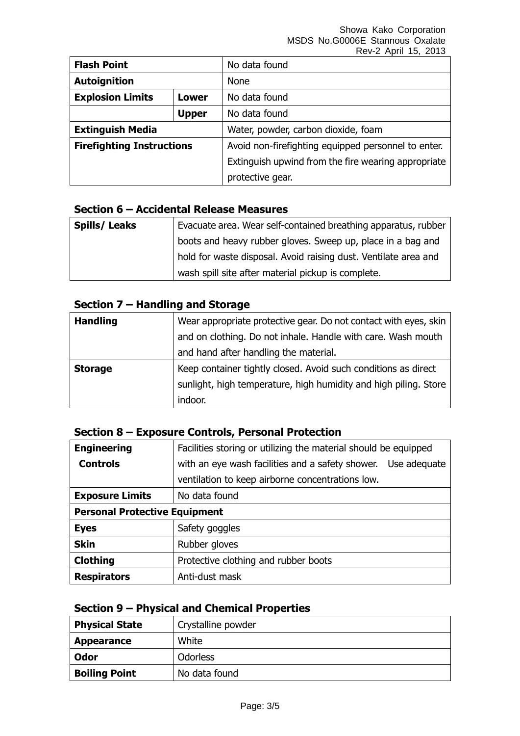Showa Kako Corporation MSDS No.G0006E Stannous Oxalate Rev-2 April 15, 2013

| <b>Flash Point</b>                      |              | No data found                                       |
|-----------------------------------------|--------------|-----------------------------------------------------|
| <b>Autoignition</b>                     |              | <b>None</b>                                         |
| <b>Explosion Limits</b><br><b>Lower</b> |              | No data found                                       |
|                                         | <b>Upper</b> | No data found                                       |
| <b>Extinguish Media</b>                 |              | Water, powder, carbon dioxide, foam                 |
| <b>Firefighting Instructions</b>        |              | Avoid non-firefighting equipped personnel to enter. |
|                                         |              | Extinguish upwind from the fire wearing appropriate |
|                                         |              | protective gear.                                    |

#### **Section 6 – Accidental Release Measures**

| <b>Spills/Leaks</b> | Evacuate area. Wear self-contained breathing apparatus, rubber  |
|---------------------|-----------------------------------------------------------------|
|                     | boots and heavy rubber gloves. Sweep up, place in a bag and     |
|                     | hold for waste disposal. Avoid raising dust. Ventilate area and |
|                     | wash spill site after material pickup is complete.              |

# **Section 7 – Handling and Storage**

| <b>Handling</b> | Wear appropriate protective gear. Do not contact with eyes, skin |
|-----------------|------------------------------------------------------------------|
|                 | and on clothing. Do not inhale. Handle with care. Wash mouth     |
|                 | and hand after handling the material.                            |
| <b>Storage</b>  | Keep container tightly closed. Avoid such conditions as direct   |
|                 | sunlight, high temperature, high humidity and high piling. Store |
|                 | indoor.                                                          |

### **Section 8 – Exposure Controls, Personal Protection**

| <b>Engineering</b>                   | Facilities storing or utilizing the material should be equipped |  |
|--------------------------------------|-----------------------------------------------------------------|--|
| <b>Controls</b>                      | with an eye wash facilities and a safety shower. Use adequate   |  |
|                                      | ventilation to keep airborne concentrations low.                |  |
| <b>Exposure Limits</b>               | No data found                                                   |  |
| <b>Personal Protective Equipment</b> |                                                                 |  |
| <b>Eyes</b>                          | Safety goggles                                                  |  |
| <b>Skin</b>                          | Rubber gloves                                                   |  |
| <b>Clothing</b>                      | Protective clothing and rubber boots                            |  |
| <b>Respirators</b>                   | Anti-dust mask                                                  |  |

## **Section 9 – Physical and Chemical Properties**

| <b>Physical State</b> | Crystalline powder |
|-----------------------|--------------------|
| <b>Appearance</b>     | White              |
| Odor                  | <b>Odorless</b>    |
| <b>Boiling Point</b>  | No data found      |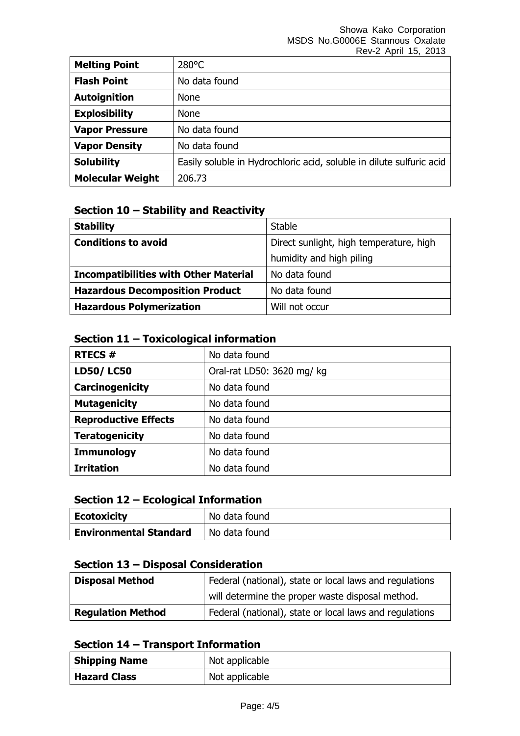|                         | .  . <i>. </i>                                                       |
|-------------------------|----------------------------------------------------------------------|
| <b>Melting Point</b>    | $280^{\circ}$ C                                                      |
| <b>Flash Point</b>      | No data found                                                        |
| <b>Autoignition</b>     | <b>None</b>                                                          |
| <b>Explosibility</b>    | <b>None</b>                                                          |
| <b>Vapor Pressure</b>   | No data found                                                        |
| <b>Vapor Density</b>    | No data found                                                        |
| <b>Solubility</b>       | Easily soluble in Hydrochloric acid, soluble in dilute sulfuric acid |
| <b>Molecular Weight</b> | 206.73                                                               |

### **Section 10 – Stability and Reactivity**

| <b>Stability</b>                             | <b>Stable</b>                           |
|----------------------------------------------|-----------------------------------------|
| <b>Conditions to avoid</b>                   | Direct sunlight, high temperature, high |
|                                              | humidity and high piling                |
| <b>Incompatibilities with Other Material</b> | No data found                           |
| <b>Hazardous Decomposition Product</b>       | No data found                           |
| <b>Hazardous Polymerization</b>              | Will not occur                          |

## **Section 11 – Toxicological information**

| <b>RTECS#</b>               | No data found              |
|-----------------------------|----------------------------|
| <b>LD50/LC50</b>            | Oral-rat LD50: 3620 mg/ kg |
| Carcinogenicity             | No data found              |
| <b>Mutagenicity</b>         | No data found              |
| <b>Reproductive Effects</b> | No data found              |
| <b>Teratogenicity</b>       | No data found              |
| <b>Immunology</b>           | No data found              |
| <b>Irritation</b>           | No data found              |

## **Section 12 – Ecological Information**

| Ecotoxicity                   | No data found |
|-------------------------------|---------------|
| <b>Environmental Standard</b> | No data found |

## **Section 13 – Disposal Consideration**

| <b>Disposal Method</b>   | Federal (national), state or local laws and regulations |
|--------------------------|---------------------------------------------------------|
|                          | will determine the proper waste disposal method.        |
| <b>Regulation Method</b> | Federal (national), state or local laws and regulations |

## **Section 14 – Transport Information**

| <b>Shipping Name</b> | Not applicable |
|----------------------|----------------|
| <b>Hazard Class</b>  | Not applicable |